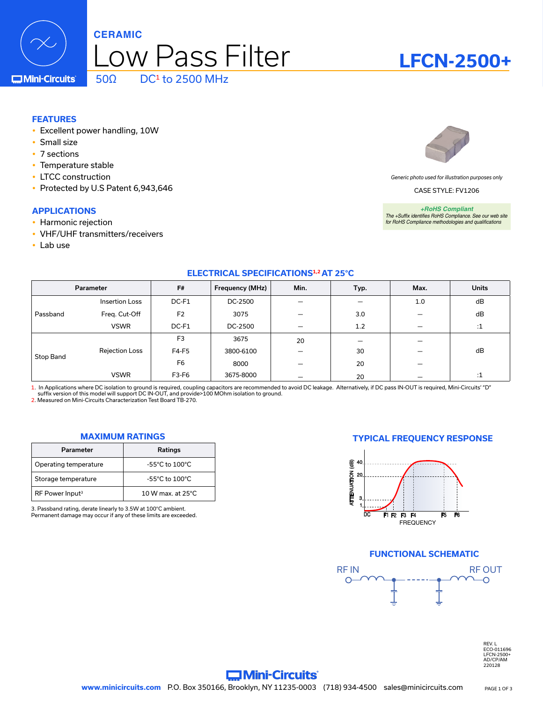

### **C**Mini-Circuits

### **FEATURES**

- Excellent power handling, 10W
- Small size
- $\cdot$  7 sections
- Temperature stable
- LTCC construction
- Protected by U.S Patent 6,943,646

### **APPLICATIONS**

- Harmonic rejection
- VHF/UHF transmitters/receivers
- Lab use

*Generic photo used for illustration purposes only*

CASE STYLE: FV1206

*+RoHS Compliant The +Suffix identifies RoHS Compliance. See our web site for RoHS Compliance methodologies and qualifications*

### **ELECTRICAL SPECIFICATIONS1,2 AT 25°C**

|           | Parameter             | F#             | Frequency (MHz) | Min. | Typ. | Max.                            | <b>Units</b> |
|-----------|-----------------------|----------------|-----------------|------|------|---------------------------------|--------------|
| Passband  | <b>Insertion Loss</b> | DC-F1          | DC-2500         |      |      | 1.0                             | dB           |
|           | Freq. Cut-Off         | F <sub>2</sub> | 3075            |      | 3.0  |                                 | dB           |
|           | <b>VSWR</b>           | DC-F1          | DC-2500         |      | 1.2  |                                 | $\cdot$ 1    |
| Stop Band |                       | F <sub>3</sub> | 3675            | 20   |      |                                 |              |
|           | <b>Rejection Loss</b> | F4-F5          | 3800-6100       |      | 30   | $\hspace{0.1mm}-\hspace{0.1mm}$ | dB           |
|           |                       | F <sub>6</sub> | 8000            |      | 20   |                                 |              |
|           | <b>VSWR</b>           | F3-F6          | 3675-8000       |      | 20   |                                 | $\cdot$ 1    |

1. In Applications where DC isolation to ground is required, coupling capacitors are recommended to avoid DC leakage. Alternatively, if DC pass IN-OUT is required, Mini-Circuits' "D"<br>suffix version of this model will supp

| Parameter                   | Ratings                            |
|-----------------------------|------------------------------------|
| Operating temperature       | $-55^{\circ}$ C to $100^{\circ}$ C |
| Storage temperature         | $-55^{\circ}$ C to $100^{\circ}$ C |
| RF Power Input <sup>3</sup> | 10 W max, at $25^{\circ}$ C.       |

3. Passband rating, derate linearly to 3.5W at 100°C ambient. Permanent damage may occur if any of these limits are exceeded.

### **MAXIMUM RATINGS TYPICAL FREQUENCY RESPONSE**



### **FUNCTIONAL SCHEMATIC**



REV. L ECO-011696 LFCN-2500+ AD/CP/AM 220128

### **Commi-Circuits**



**LFCN-2500+**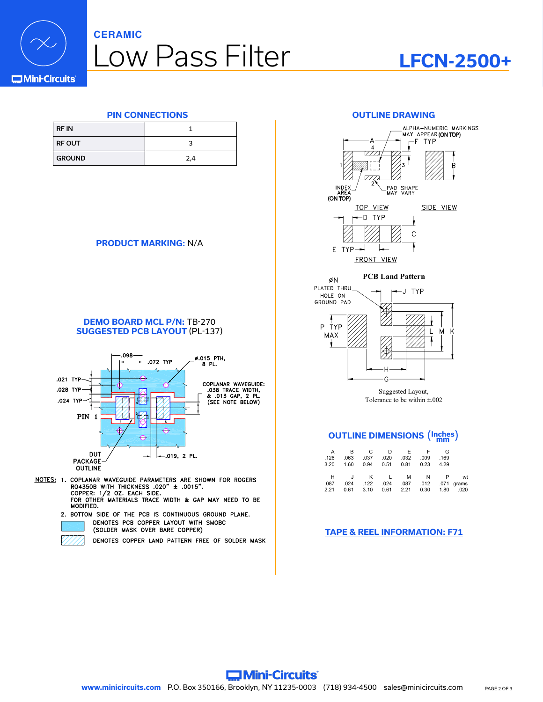

### **CERAMIC**

# Low Pass Filter

## **LFCN-2500+**

| <b>RF IN</b>  |     |
|---------------|-----|
| <b>RF OUT</b> |     |
| <b>GROUND</b> | 2.4 |

### **PRODUCT MARKING:** N/A





- NOTES: 1. COPLANAR WAVEGUIDE PARAMETERS ARE SHOWN FOR ROGERS RO4350B WITH THICKNESS .020" ± .0015".<br>COPPER: 1/2 OZ. EACH SIDE. FOR OTHER MATERIALS TRACE WIDTH & GAP MAY NEED TO BE MODIFIED.
	- 2. BOTTOM SIDE OF THE PCB IS CONTINUOUS GROUND PLANE. DENOTES PCB COPPER LAYOUT WITH SMOBC (SOLDER MASK OVER BARE COPPER)
		- DENOTES COPPER LAND PATTERN FREE OF SOLDER MASK







Suggested Layout, Tolerance to be within ±.002

## **OUTLINE DIMENSIONS** (**Inches mm** )

|      |                 | - F  | - F         | - D       | - C  | - B  | A    |
|------|-----------------|------|-------------|-----------|------|------|------|
|      | .169            | .009 | .032        | .020      | .037 | .063 | .126 |
|      | 4.29            | 0.23 | 0.81        | 0.94 0.51 |      | 1.60 | 3.20 |
|      |                 |      |             |           |      |      |      |
| wt   |                 | N    | M           | $-1$      | K    | J    | H    |
|      | .012 .071 grams |      | .087        | .024      | .122 | .024 | .087 |
| .020 | 1.80            | 0.30 | $0.61$ 2.21 |           | 3.10 | 0.61 | 2.21 |
|      |                 |      |             |           |      |      |      |

### **[TAPE & REEL INFORMATION: F71](http://www.minicircuits.com/case_style/tape_reel/98-TRF71.pdf)**